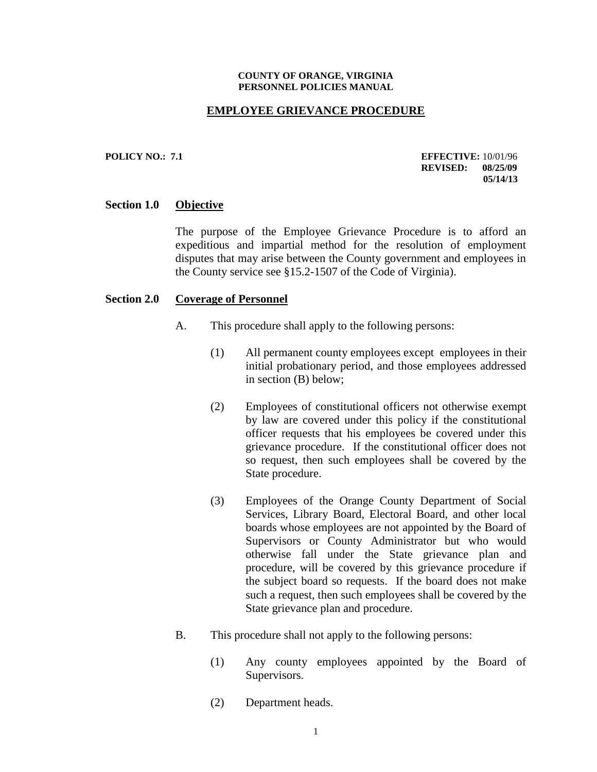#### **COUNTY OF ORANGE, VIRGINIA PERSONNEL POLICIES MANUAL**

### **EMPLOYEE GRIEVANCE PROCEDURE**

#### **POLICY NO.: 7.1 EFFECTIVE:** 10/01/96 **REVISED: 08/25/09 05/14/13**

### **Section 1.0 Objective**

The purpose of the Employee Grievance Procedure is to afford an expeditious and impartial method for the resolution of employment disputes that may arise between the County government and employees in the County service see §15.2-1507 of the Code of Virginia).

#### **Section 2.0 Coverage of Personnel**

- A. This procedure shall apply to the following persons:
	- (1) All permanent county employees except employees in their initial probationary period, and those employees addressed in section (B) below;
	- (2) Employees of constitutional officers not otherwise exempt by law are covered under this policy if the constitutional officer requests that his employees be covered under this grievance procedure. If the constitutional officer does not so request, then such employees shall be covered by the State procedure.
	- (3) Employees of the Orange County Department of Social Services, Library Board, Electoral Board, and other local boards whose employees are not appointed by the Board of Supervisors or County Administrator but who would otherwise fall under the State grievance plan and procedure, will be covered by this grievance procedure if the subject board so requests. If the board does not make such a request, then such employees shall be covered by the State grievance plan and procedure.
- B. This procedure shall not apply to the following persons:
	- (1) Any county employees appointed by the Board of Supervisors.
	- (2) Department heads.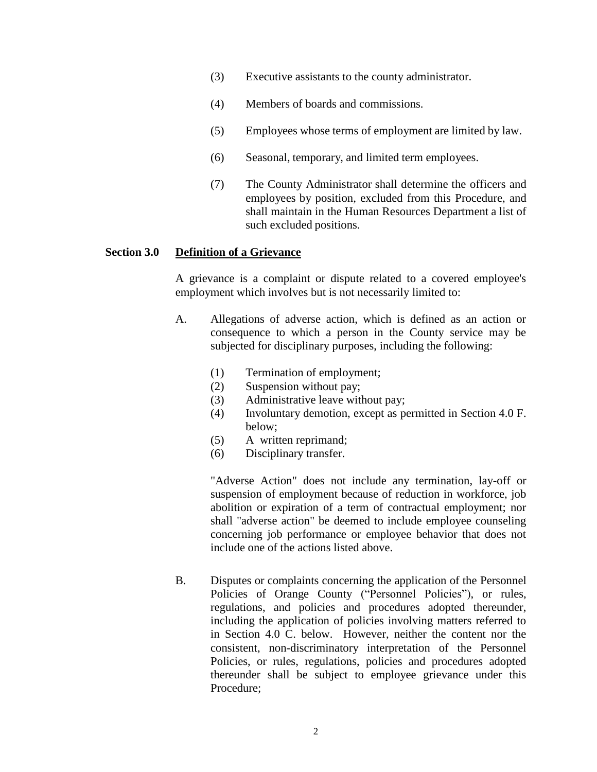- (3) Executive assistants to the county administrator.
- (4) Members of boards and commissions.
- (5) Employees whose terms of employment are limited by law.
- (6) Seasonal, temporary, and limited term employees.
- (7) The County Administrator shall determine the officers and employees by position, excluded from this Procedure, and shall maintain in the Human Resources Department a list of such excluded positions.

# **Section 3.0 Definition of a Grievance**

A grievance is a complaint or dispute related to a covered employee's employment which involves but is not necessarily limited to:

- A. Allegations of adverse action, which is defined as an action or consequence to which a person in the County service may be subjected for disciplinary purposes, including the following:
	- (1) Termination of employment;
	- (2) Suspension without pay;
	- (3) Administrative leave without pay;
	- (4) Involuntary demotion, except as permitted in Section 4.0 F. below;
	- (5) A written reprimand;
	- (6) Disciplinary transfer.

"Adverse Action" does not include any termination, lay-off or suspension of employment because of reduction in workforce, job abolition or expiration of a term of contractual employment; nor shall "adverse action" be deemed to include employee counseling concerning job performance or employee behavior that does not include one of the actions listed above.

B. Disputes or complaints concerning the application of the Personnel Policies of Orange County ("Personnel Policies"), or rules, regulations, and policies and procedures adopted thereunder, including the application of policies involving matters referred to in Section 4.0 C. below. However, neither the content nor the consistent, non-discriminatory interpretation of the Personnel Policies, or rules, regulations, policies and procedures adopted thereunder shall be subject to employee grievance under this Procedure;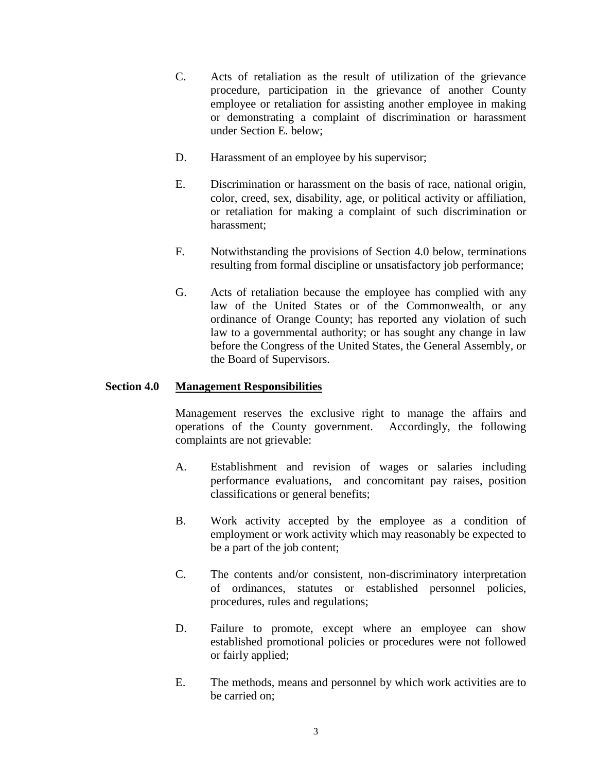- C. Acts of retaliation as the result of utilization of the grievance procedure, participation in the grievance of another County employee or retaliation for assisting another employee in making or demonstrating a complaint of discrimination or harassment under Section E. below;
- D. Harassment of an employee by his supervisor;
- E. Discrimination or harassment on the basis of race, national origin, color, creed, sex, disability, age, or political activity or affiliation, or retaliation for making a complaint of such discrimination or harassment;
- F. Notwithstanding the provisions of Section 4.0 below, terminations resulting from formal discipline or unsatisfactory job performance;
- G. Acts of retaliation because the employee has complied with any law of the United States or of the Commonwealth, or any ordinance of Orange County; has reported any violation of such law to a governmental authority; or has sought any change in law before the Congress of the United States, the General Assembly, or the Board of Supervisors.

## **Section 4.0 Management Responsibilities**

Management reserves the exclusive right to manage the affairs and operations of the County government. Accordingly, the following complaints are not grievable:

- A. Establishment and revision of wages or salaries including performance evaluations, and concomitant pay raises, position classifications or general benefits;
- B. Work activity accepted by the employee as a condition of employment or work activity which may reasonably be expected to be a part of the job content;
- C. The contents and/or consistent, non-discriminatory interpretation of ordinances, statutes or established personnel policies, procedures, rules and regulations;
- D. Failure to promote, except where an employee can show established promotional policies or procedures were not followed or fairly applied;
- E. The methods, means and personnel by which work activities are to be carried on;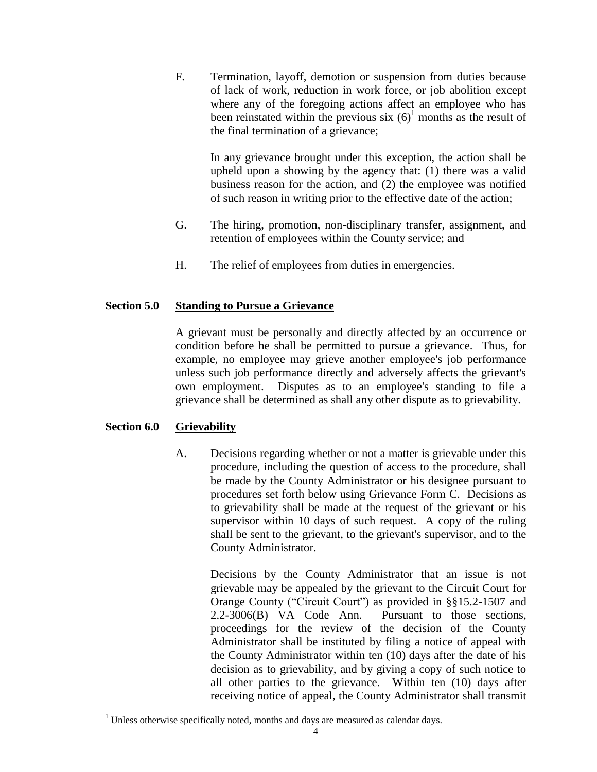F. Termination, layoff, demotion or suspension from duties because of lack of work, reduction in work force, or job abolition except where any of the foregoing actions affect an employee who has been reinstated within the previous six  $(6)^1$  months as the result of the final termination of a grievance;

> In any grievance brought under this exception, the action shall be upheld upon a showing by the agency that: (1) there was a valid business reason for the action, and (2) the employee was notified of such reason in writing prior to the effective date of the action;

- G. The hiring, promotion, non-disciplinary transfer, assignment, and retention of employees within the County service; and
- H. The relief of employees from duties in emergencies.

# **Section 5.0 Standing to Pursue a Grievance**

A grievant must be personally and directly affected by an occurrence or condition before he shall be permitted to pursue a grievance. Thus, for example, no employee may grieve another employee's job performance unless such job performance directly and adversely affects the grievant's own employment. Disputes as to an employee's standing to file a grievance shall be determined as shall any other dispute as to grievability.

# **Section 6.0 Grievability**

 $\overline{a}$ 

A. Decisions regarding whether or not a matter is grievable under this procedure, including the question of access to the procedure, shall be made by the County Administrator or his designee pursuant to procedures set forth below using Grievance Form C. Decisions as to grievability shall be made at the request of the grievant or his supervisor within 10 days of such request. A copy of the ruling shall be sent to the grievant, to the grievant's supervisor, and to the County Administrator.

Decisions by the County Administrator that an issue is not grievable may be appealed by the grievant to the Circuit Court for Orange County ("Circuit Court") as provided in §§15.2-1507 and 2.2-3006(B) VA Code Ann. Pursuant to those sections, proceedings for the review of the decision of the County Administrator shall be instituted by filing a notice of appeal with the County Administrator within ten (10) days after the date of his decision as to grievability, and by giving a copy of such notice to all other parties to the grievance. Within ten (10) days after receiving notice of appeal, the County Administrator shall transmit

 $1$  Unless otherwise specifically noted, months and days are measured as calendar days.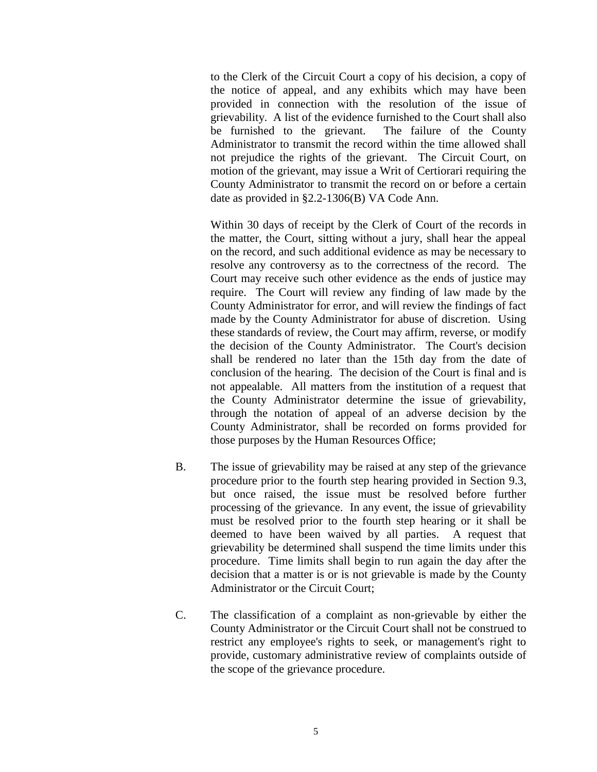to the Clerk of the Circuit Court a copy of his decision, a copy of the notice of appeal, and any exhibits which may have been provided in connection with the resolution of the issue of grievability. A list of the evidence furnished to the Court shall also be furnished to the grievant. The failure of the County Administrator to transmit the record within the time allowed shall not prejudice the rights of the grievant. The Circuit Court, on motion of the grievant, may issue a Writ of Certiorari requiring the County Administrator to transmit the record on or before a certain date as provided in §2.2-1306(B) VA Code Ann.

Within 30 days of receipt by the Clerk of Court of the records in the matter, the Court, sitting without a jury, shall hear the appeal on the record, and such additional evidence as may be necessary to resolve any controversy as to the correctness of the record. The Court may receive such other evidence as the ends of justice may require. The Court will review any finding of law made by the County Administrator for error, and will review the findings of fact made by the County Administrator for abuse of discretion. Using these standards of review, the Court may affirm, reverse, or modify the decision of the County Administrator. The Court's decision shall be rendered no later than the 15th day from the date of conclusion of the hearing. The decision of the Court is final and is not appealable. All matters from the institution of a request that the County Administrator determine the issue of grievability, through the notation of appeal of an adverse decision by the County Administrator, shall be recorded on forms provided for those purposes by the Human Resources Office;

- B. The issue of grievability may be raised at any step of the grievance procedure prior to the fourth step hearing provided in Section 9.3, but once raised, the issue must be resolved before further processing of the grievance. In any event, the issue of grievability must be resolved prior to the fourth step hearing or it shall be deemed to have been waived by all parties. A request that grievability be determined shall suspend the time limits under this procedure. Time limits shall begin to run again the day after the decision that a matter is or is not grievable is made by the County Administrator or the Circuit Court;
- C. The classification of a complaint as non-grievable by either the County Administrator or the Circuit Court shall not be construed to restrict any employee's rights to seek, or management's right to provide, customary administrative review of complaints outside of the scope of the grievance procedure.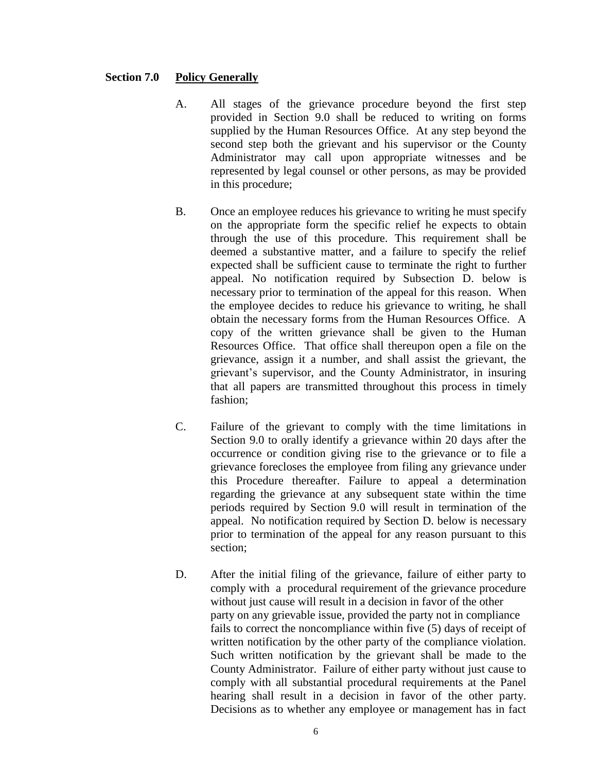## **Section 7.0 Policy Generally**

- A. All stages of the grievance procedure beyond the first step provided in Section 9.0 shall be reduced to writing on forms supplied by the Human Resources Office. At any step beyond the second step both the grievant and his supervisor or the County Administrator may call upon appropriate witnesses and be represented by legal counsel or other persons, as may be provided in this procedure;
- B. Once an employee reduces his grievance to writing he must specify on the appropriate form the specific relief he expects to obtain through the use of this procedure. This requirement shall be deemed a substantive matter, and a failure to specify the relief expected shall be sufficient cause to terminate the right to further appeal. No notification required by Subsection D. below is necessary prior to termination of the appeal for this reason. When the employee decides to reduce his grievance to writing, he shall obtain the necessary forms from the Human Resources Office. A copy of the written grievance shall be given to the Human Resources Office. That office shall thereupon open a file on the grievance, assign it a number, and shall assist the grievant, the grievant's supervisor, and the County Administrator, in insuring that all papers are transmitted throughout this process in timely fashion;
- C. Failure of the grievant to comply with the time limitations in Section 9.0 to orally identify a grievance within 20 days after the occurrence or condition giving rise to the grievance or to file a grievance forecloses the employee from filing any grievance under this Procedure thereafter. Failure to appeal a determination regarding the grievance at any subsequent state within the time periods required by Section 9.0 will result in termination of the appeal. No notification required by Section D. below is necessary prior to termination of the appeal for any reason pursuant to this section;
- D. After the initial filing of the grievance, failure of either party to comply with a procedural requirement of the grievance procedure without just cause will result in a decision in favor of the other party on any grievable issue, provided the party not in compliance fails to correct the noncompliance within five (5) days of receipt of written notification by the other party of the compliance violation. Such written notification by the grievant shall be made to the County Administrator. Failure of either party without just cause to comply with all substantial procedural requirements at the Panel hearing shall result in a decision in favor of the other party. Decisions as to whether any employee or management has in fact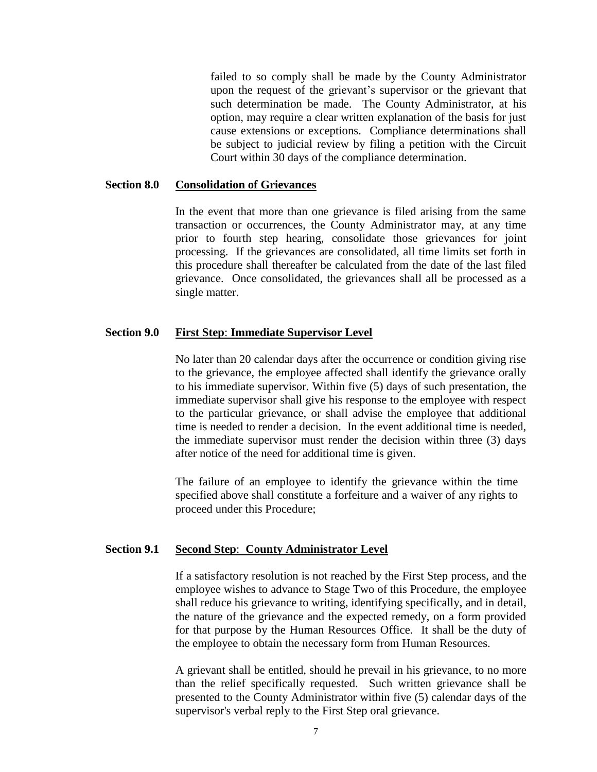failed to so comply shall be made by the County Administrator upon the request of the grievant's supervisor or the grievant that such determination be made. The County Administrator, at his option, may require a clear written explanation of the basis for just cause extensions or exceptions. Compliance determinations shall be subject to judicial review by filing a petition with the Circuit Court within 30 days of the compliance determination.

### **Section 8.0 Consolidation of Grievances**

In the event that more than one grievance is filed arising from the same transaction or occurrences, the County Administrator may, at any time prior to fourth step hearing, consolidate those grievances for joint processing. If the grievances are consolidated, all time limits set forth in this procedure shall thereafter be calculated from the date of the last filed grievance. Once consolidated, the grievances shall all be processed as a single matter.

### **Section 9.0 First Step**: **Immediate Supervisor Level**

No later than 20 calendar days after the occurrence or condition giving rise to the grievance, the employee affected shall identify the grievance orally to his immediate supervisor. Within five (5) days of such presentation, the immediate supervisor shall give his response to the employee with respect to the particular grievance, or shall advise the employee that additional time is needed to render a decision. In the event additional time is needed, the immediate supervisor must render the decision within three (3) days after notice of the need for additional time is given.

The failure of an employee to identify the grievance within the time specified above shall constitute a forfeiture and a waiver of any rights to proceed under this Procedure;

#### **Section 9.1 Second Step**: **County Administrator Level**

If a satisfactory resolution is not reached by the First Step process, and the employee wishes to advance to Stage Two of this Procedure, the employee shall reduce his grievance to writing, identifying specifically, and in detail, the nature of the grievance and the expected remedy, on a form provided for that purpose by the Human Resources Office. It shall be the duty of the employee to obtain the necessary form from Human Resources.

A grievant shall be entitled, should he prevail in his grievance, to no more than the relief specifically requested. Such written grievance shall be presented to the County Administrator within five (5) calendar days of the supervisor's verbal reply to the First Step oral grievance.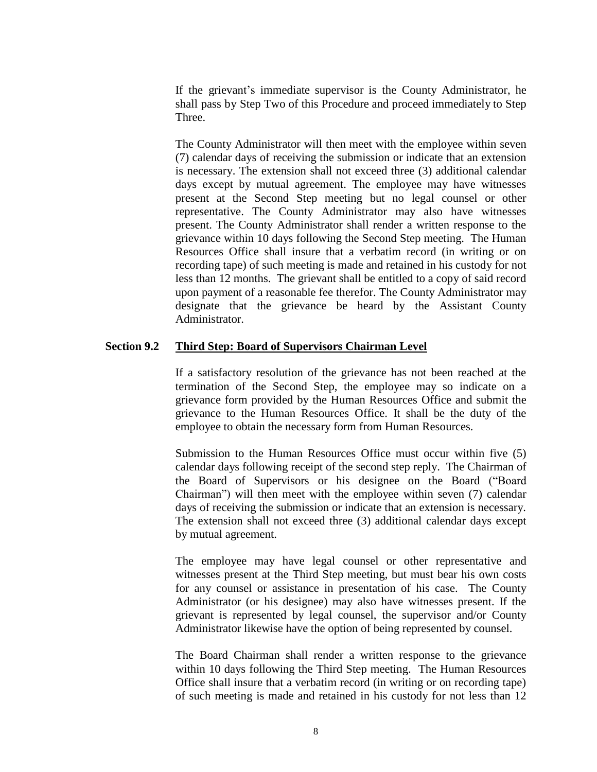If the grievant's immediate supervisor is the County Administrator, he shall pass by Step Two of this Procedure and proceed immediately to Step Three.

The County Administrator will then meet with the employee within seven (7) calendar days of receiving the submission or indicate that an extension is necessary. The extension shall not exceed three (3) additional calendar days except by mutual agreement. The employee may have witnesses present at the Second Step meeting but no legal counsel or other representative. The County Administrator may also have witnesses present. The County Administrator shall render a written response to the grievance within 10 days following the Second Step meeting. The Human Resources Office shall insure that a verbatim record (in writing or on recording tape) of such meeting is made and retained in his custody for not less than 12 months. The grievant shall be entitled to a copy of said record upon payment of a reasonable fee therefor. The County Administrator may designate that the grievance be heard by the Assistant County Administrator.

### **Section 9.2 Third Step: Board of Supervisors Chairman Level**

If a satisfactory resolution of the grievance has not been reached at the termination of the Second Step, the employee may so indicate on a grievance form provided by the Human Resources Office and submit the grievance to the Human Resources Office. It shall be the duty of the employee to obtain the necessary form from Human Resources.

Submission to the Human Resources Office must occur within five (5) calendar days following receipt of the second step reply. The Chairman of the Board of Supervisors or his designee on the Board ("Board Chairman") will then meet with the employee within seven (7) calendar days of receiving the submission or indicate that an extension is necessary. The extension shall not exceed three (3) additional calendar days except by mutual agreement.

The employee may have legal counsel or other representative and witnesses present at the Third Step meeting, but must bear his own costs for any counsel or assistance in presentation of his case. The County Administrator (or his designee) may also have witnesses present. If the grievant is represented by legal counsel, the supervisor and/or County Administrator likewise have the option of being represented by counsel.

The Board Chairman shall render a written response to the grievance within 10 days following the Third Step meeting. The Human Resources Office shall insure that a verbatim record (in writing or on recording tape) of such meeting is made and retained in his custody for not less than 12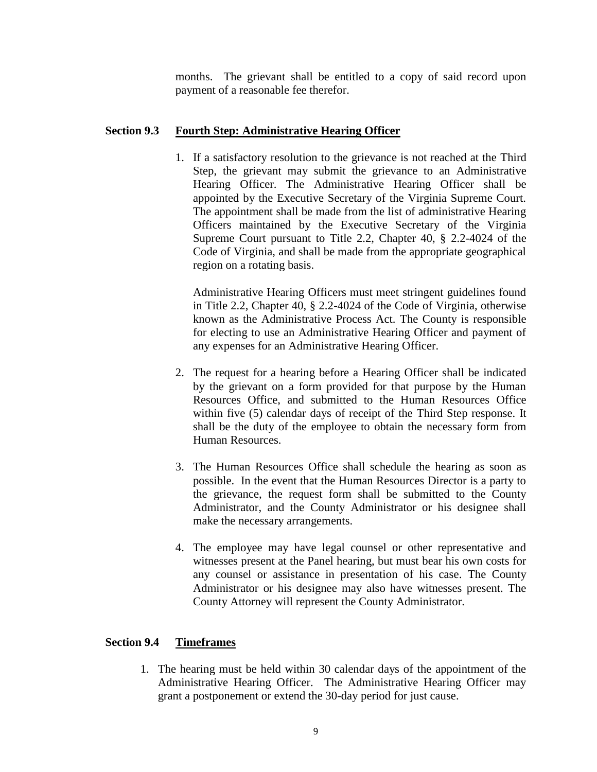months. The grievant shall be entitled to a copy of said record upon payment of a reasonable fee therefor.

## **Section 9.3 Fourth Step: Administrative Hearing Officer**

1. If a satisfactory resolution to the grievance is not reached at the Third Step, the grievant may submit the grievance to an Administrative Hearing Officer. The Administrative Hearing Officer shall be appointed by the Executive Secretary of the Virginia Supreme Court. The appointment shall be made from the list of administrative Hearing Officers maintained by the Executive Secretary of the Virginia Supreme Court pursuant to Title 2.2, Chapter 40, § 2.2-4024 of the Code of Virginia, and shall be made from the appropriate geographical region on a rotating basis.

Administrative Hearing Officers must meet stringent guidelines found in Title 2.2, Chapter 40, § 2.2-4024 of the Code of Virginia, otherwise known as the Administrative Process Act. The County is responsible for electing to use an Administrative Hearing Officer and payment of any expenses for an Administrative Hearing Officer.

- 2. The request for a hearing before a Hearing Officer shall be indicated by the grievant on a form provided for that purpose by the Human Resources Office, and submitted to the Human Resources Office within five (5) calendar days of receipt of the Third Step response. It shall be the duty of the employee to obtain the necessary form from Human Resources.
- 3. The Human Resources Office shall schedule the hearing as soon as possible. In the event that the Human Resources Director is a party to the grievance, the request form shall be submitted to the County Administrator, and the County Administrator or his designee shall make the necessary arrangements.
- 4. The employee may have legal counsel or other representative and witnesses present at the Panel hearing, but must bear his own costs for any counsel or assistance in presentation of his case. The County Administrator or his designee may also have witnesses present. The County Attorney will represent the County Administrator.

## **Section 9.4 Timeframes**

1. The hearing must be held within 30 calendar days of the appointment of the Administrative Hearing Officer. The Administrative Hearing Officer may grant a postponement or extend the 30-day period for just cause.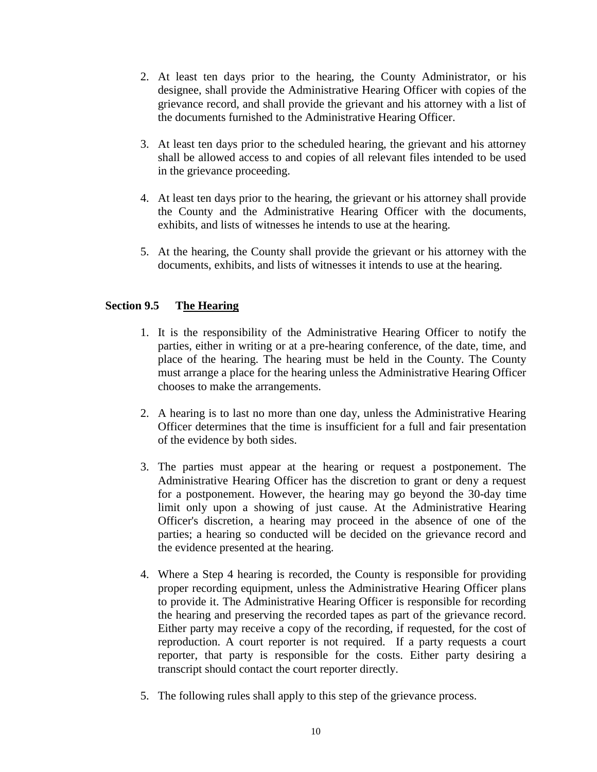- 2. At least ten days prior to the hearing, the County Administrator, or his designee, shall provide the Administrative Hearing Officer with copies of the grievance record, and shall provide the grievant and his attorney with a list of the documents furnished to the Administrative Hearing Officer.
- 3. At least ten days prior to the scheduled hearing, the grievant and his attorney shall be allowed access to and copies of all relevant files intended to be used in the grievance proceeding.
- 4. At least ten days prior to the hearing, the grievant or his attorney shall provide the County and the Administrative Hearing Officer with the documents, exhibits, and lists of witnesses he intends to use at the hearing.
- 5. At the hearing, the County shall provide the grievant or his attorney with the documents, exhibits, and lists of witnesses it intends to use at the hearing.

# **Section 9.5 The Hearing**

- 1. It is the responsibility of the Administrative Hearing Officer to notify the parties, either in writing or at a pre-hearing conference, of the date, time, and place of the hearing. The hearing must be held in the County. The County must arrange a place for the hearing unless the Administrative Hearing Officer chooses to make the arrangements.
- 2. A hearing is to last no more than one day, unless the Administrative Hearing Officer determines that the time is insufficient for a full and fair presentation of the evidence by both sides.
- 3. The parties must appear at the hearing or request a postponement. The Administrative Hearing Officer has the discretion to grant or deny a request for a postponement. However, the hearing may go beyond the 30-day time limit only upon a showing of just cause. At the Administrative Hearing Officer's discretion, a hearing may proceed in the absence of one of the parties; a hearing so conducted will be decided on the grievance record and the evidence presented at the hearing.
- 4. Where a Step 4 hearing is recorded, the County is responsible for providing proper recording equipment, unless the Administrative Hearing Officer plans to provide it. The Administrative Hearing Officer is responsible for recording the hearing and preserving the recorded tapes as part of the grievance record. Either party may receive a copy of the recording, if requested, for the cost of reproduction. A court reporter is not required. If a party requests a court reporter, that party is responsible for the costs. Either party desiring a transcript should contact the court reporter directly.
- 5. The following rules shall apply to this step of the grievance process.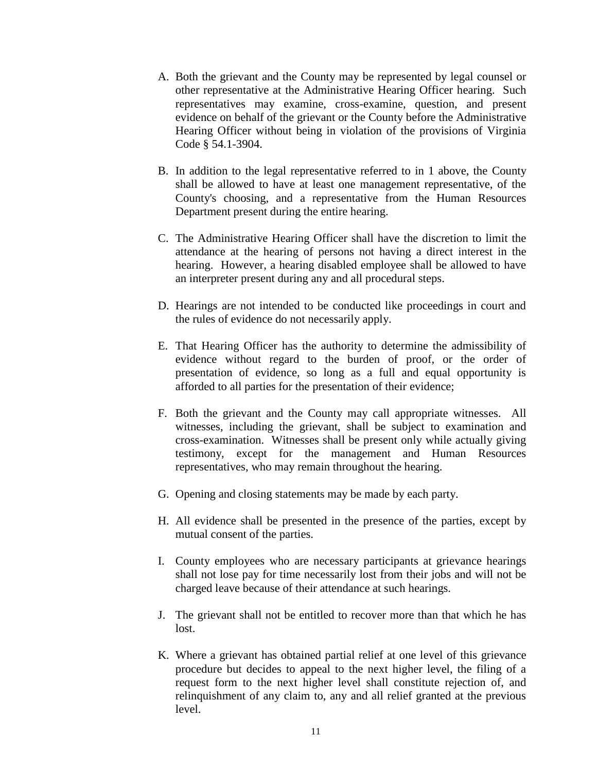- A. Both the grievant and the County may be represented by legal counsel or other representative at the Administrative Hearing Officer hearing. Such representatives may examine, cross-examine, question, and present evidence on behalf of the grievant or the County before the Administrative Hearing Officer without being in violation of the provisions of Virginia Code § 54.1-3904.
- B. In addition to the legal representative referred to in 1 above, the County shall be allowed to have at least one management representative, of the County's choosing, and a representative from the Human Resources Department present during the entire hearing.
- C. The Administrative Hearing Officer shall have the discretion to limit the attendance at the hearing of persons not having a direct interest in the hearing. However, a hearing disabled employee shall be allowed to have an interpreter present during any and all procedural steps.
- D. Hearings are not intended to be conducted like proceedings in court and the rules of evidence do not necessarily apply.
- E. That Hearing Officer has the authority to determine the admissibility of evidence without regard to the burden of proof, or the order of presentation of evidence, so long as a full and equal opportunity is afforded to all parties for the presentation of their evidence;
- F. Both the grievant and the County may call appropriate witnesses. All witnesses, including the grievant, shall be subject to examination and cross-examination. Witnesses shall be present only while actually giving testimony, except for the management and Human Resources representatives, who may remain throughout the hearing.
- G. Opening and closing statements may be made by each party.
- H. All evidence shall be presented in the presence of the parties, except by mutual consent of the parties.
- I. County employees who are necessary participants at grievance hearings shall not lose pay for time necessarily lost from their jobs and will not be charged leave because of their attendance at such hearings.
- J. The grievant shall not be entitled to recover more than that which he has lost.
- K. Where a grievant has obtained partial relief at one level of this grievance procedure but decides to appeal to the next higher level, the filing of a request form to the next higher level shall constitute rejection of, and relinquishment of any claim to, any and all relief granted at the previous level.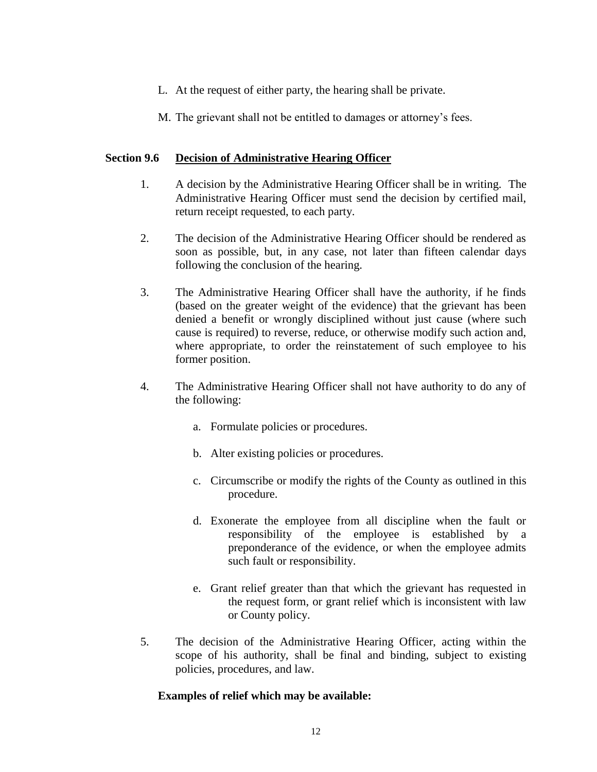- L. At the request of either party, the hearing shall be private.
- M. The grievant shall not be entitled to damages or attorney's fees.

## **Section 9.6 Decision of Administrative Hearing Officer**

- 1. A decision by the Administrative Hearing Officer shall be in writing. The Administrative Hearing Officer must send the decision by certified mail, return receipt requested, to each party.
- 2. The decision of the Administrative Hearing Officer should be rendered as soon as possible, but, in any case, not later than fifteen calendar days following the conclusion of the hearing.
- 3. The Administrative Hearing Officer shall have the authority, if he finds (based on the greater weight of the evidence) that the grievant has been denied a benefit or wrongly disciplined without just cause (where such cause is required) to reverse, reduce, or otherwise modify such action and, where appropriate, to order the reinstatement of such employee to his former position.
- 4. The Administrative Hearing Officer shall not have authority to do any of the following:
	- a. Formulate policies or procedures.
	- b. Alter existing policies or procedures.
	- c. Circumscribe or modify the rights of the County as outlined in this procedure.
	- d. Exonerate the employee from all discipline when the fault or responsibility of the employee is established by a preponderance of the evidence, or when the employee admits such fault or responsibility.
	- e. Grant relief greater than that which the grievant has requested in the request form, or grant relief which is inconsistent with law or County policy.
- 5. The decision of the Administrative Hearing Officer, acting within the scope of his authority, shall be final and binding, subject to existing policies, procedures, and law.

## **Examples of relief which may be available:**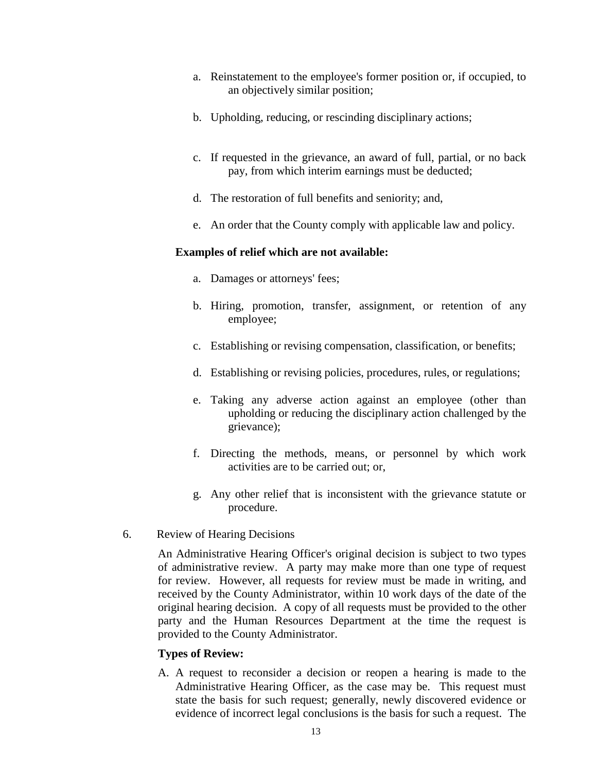- a. Reinstatement to the employee's former position or, if occupied, to an objectively similar position;
- b. Upholding, reducing, or rescinding disciplinary actions;
- c. If requested in the grievance, an award of full, partial, or no back pay, from which interim earnings must be deducted;
- d. The restoration of full benefits and seniority; and,
- e. An order that the County comply with applicable law and policy.

# **Examples of relief which are not available:**

- a. Damages or attorneys' fees;
- b. Hiring, promotion, transfer, assignment, or retention of any employee;
- c. Establishing or revising compensation, classification, or benefits;
- d. Establishing or revising policies, procedures, rules, or regulations;
- e. Taking any adverse action against an employee (other than upholding or reducing the disciplinary action challenged by the grievance);
- f. Directing the methods, means, or personnel by which work activities are to be carried out; or,
- g. Any other relief that is inconsistent with the grievance statute or procedure.
- 6. Review of Hearing Decisions

An Administrative Hearing Officer's original decision is subject to two types of administrative review. A party may make more than one type of request for review. However, all requests for review must be made in writing, and received by the County Administrator, within 10 work days of the date of the original hearing decision. A copy of all requests must be provided to the other party and the Human Resources Department at the time the request is provided to the County Administrator.

# **Types of Review:**

A. A request to reconsider a decision or reopen a hearing is made to the Administrative Hearing Officer, as the case may be. This request must state the basis for such request; generally, newly discovered evidence or evidence of incorrect legal conclusions is the basis for such a request. The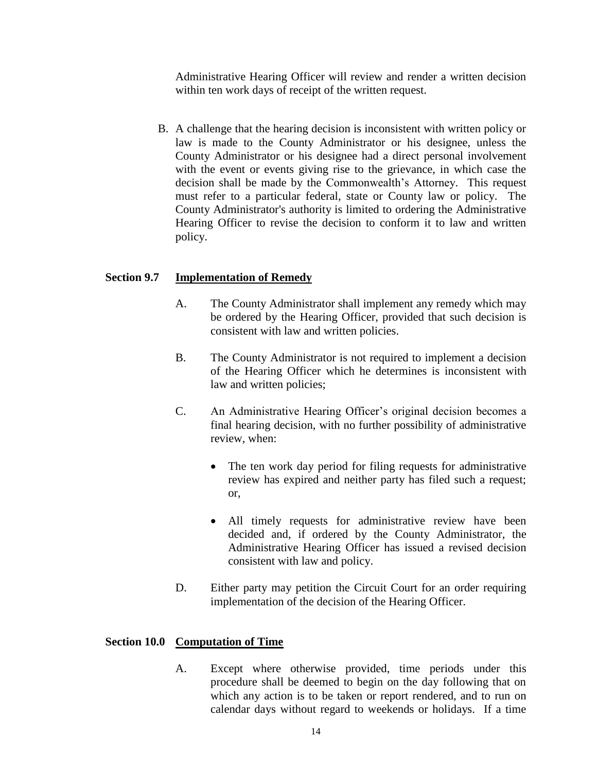Administrative Hearing Officer will review and render a written decision within ten work days of receipt of the written request.

B. A challenge that the hearing decision is inconsistent with written policy or law is made to the County Administrator or his designee, unless the County Administrator or his designee had a direct personal involvement with the event or events giving rise to the grievance, in which case the decision shall be made by the Commonwealth's Attorney. This request must refer to a particular federal, state or County law or policy. The County Administrator's authority is limited to ordering the Administrative Hearing Officer to revise the decision to conform it to law and written policy.

# **Section 9.7 Implementation of Remedy**

- A. The County Administrator shall implement any remedy which may be ordered by the Hearing Officer, provided that such decision is consistent with law and written policies.
- B. The County Administrator is not required to implement a decision of the Hearing Officer which he determines is inconsistent with law and written policies;
- C. An Administrative Hearing Officer's original decision becomes a final hearing decision, with no further possibility of administrative review, when:
	- The ten work day period for filing requests for administrative review has expired and neither party has filed such a request; or,
	- All timely requests for administrative review have been decided and, if ordered by the County Administrator, the Administrative Hearing Officer has issued a revised decision consistent with law and policy.
- D. Either party may petition the Circuit Court for an order requiring implementation of the decision of the Hearing Officer.

## **Section 10.0 Computation of Time**

A. Except where otherwise provided, time periods under this procedure shall be deemed to begin on the day following that on which any action is to be taken or report rendered, and to run on calendar days without regard to weekends or holidays. If a time